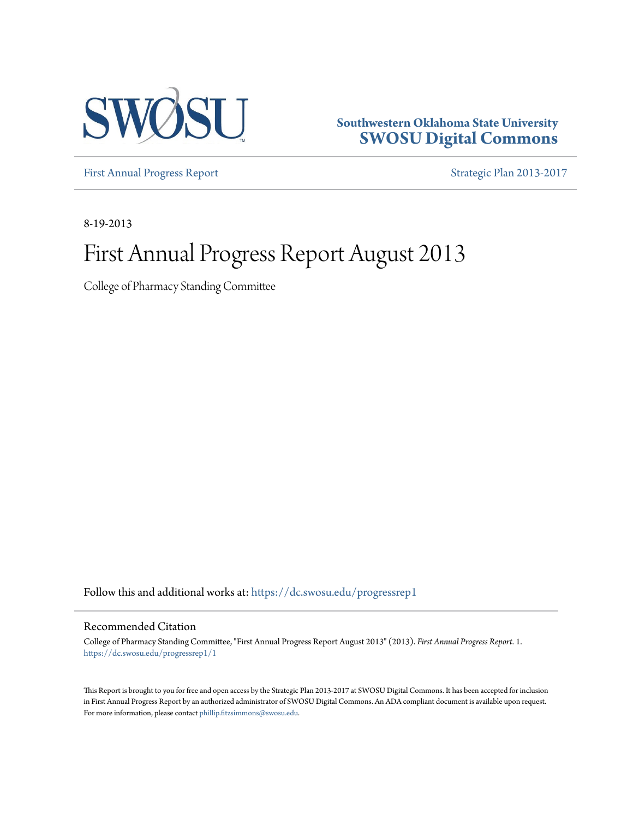

**Southwestern Oklahoma State University [SWOSU Digital Commons](https://dc.swosu.edu/?utm_source=dc.swosu.edu%2Fprogressrep1%2F1&utm_medium=PDF&utm_campaign=PDFCoverPages)**

[First Annual Progress Report](https://dc.swosu.edu/progressrep1?utm_source=dc.swosu.edu%2Fprogressrep1%2F1&utm_medium=PDF&utm_campaign=PDFCoverPages) **[Strategic Plan 2013-2017](https://dc.swosu.edu/ud_strategicplan?utm_source=dc.swosu.edu%2Fprogressrep1%2F1&utm_medium=PDF&utm_campaign=PDFCoverPages)** 

8-19-2013

### First Annual Progress Report August 2013

College of Pharmacy Standing Committee

Follow this and additional works at: [https://dc.swosu.edu/progressrep1](https://dc.swosu.edu/progressrep1?utm_source=dc.swosu.edu%2Fprogressrep1%2F1&utm_medium=PDF&utm_campaign=PDFCoverPages)

#### Recommended Citation

College of Pharmacy Standing Committee, "First Annual Progress Report August 2013" (2013). *First Annual Progress Report*. 1. [https://dc.swosu.edu/progressrep1/1](https://dc.swosu.edu/progressrep1/1?utm_source=dc.swosu.edu%2Fprogressrep1%2F1&utm_medium=PDF&utm_campaign=PDFCoverPages)

This Report is brought to you for free and open access by the Strategic Plan 2013-2017 at SWOSU Digital Commons. It has been accepted for inclusion in First Annual Progress Report by an authorized administrator of SWOSU Digital Commons. An ADA compliant document is available upon request. For more information, please contact [phillip.fitzsimmons@swosu.edu](mailto:phillip.fitzsimmons@swosu.edu).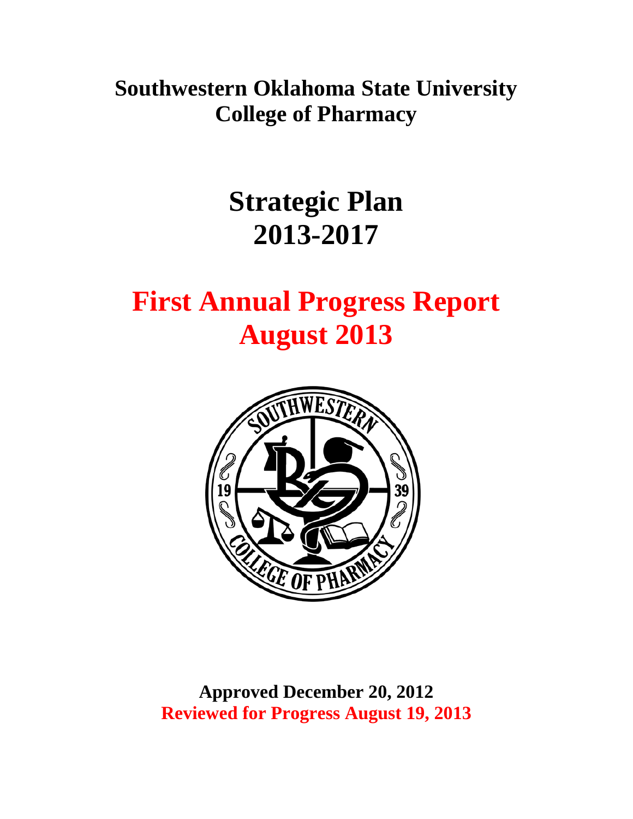**Southwestern Oklahoma State University College of Pharmacy** 

# **Strategic Plan 2013-2017**

# **First Annual Progress Report August 2013**



**Approved December 20, 2012 Reviewed for Progress August 19, 2013**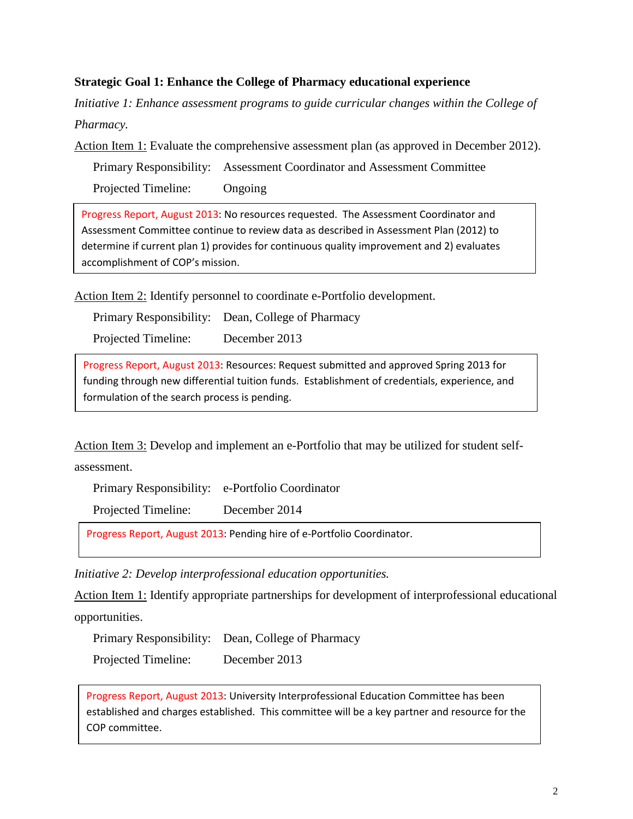#### **Strategic Goal 1: Enhance the College of Pharmacy educational experience**

*Initiative 1: Enhance assessment programs to guide curricular changes within the College of Pharmacy.* 

Action Item 1: Evaluate the comprehensive assessment plan (as approved in December 2012).

Primary Responsibility: Assessment Coordinator and Assessment Committee Projected Timeline: Ongoing

Progress Report, August 2013: No resources requested. The Assessment Coordinator and Assessment Committee continue to review data as described in Assessment Plan (2012) to determine if current plan 1) provides for continuous quality improvement and 2) evaluates accomplishment of COP's mission.

Action Item 2: Identify personnel to coordinate e-Portfolio development.

Primary Responsibility: Dean, College of Pharmacy

Projected Timeline: December 2013

 funding through new differential tuition funds. Establishment of credentials, experience, and Progress Report, August 2013: Resources: Request submitted and approved Spring 2013 for formulation of the search process is pending.

Action Item 3: Develop and implement an e-Portfolio that may be utilized for student self-

assessment.

Primary Responsibility: e-Portfolio Coordinator

Projected Timeline: December 2014

Progress Report, August 2013: Pending hire of e-Portfolio Coordinator.

*Initiative 2: Develop interprofessional education opportunities.* 

Action Item 1: Identify appropriate partnerships for development of interprofessional educational opportunities.

Primary Responsibility: Dean, College of Pharmacy Projected Timeline: December 2013

Progress Report, August 2013: University Interprofessional Education Committee has been established and charges established. This committee will be a key partner and resource for the COP committee.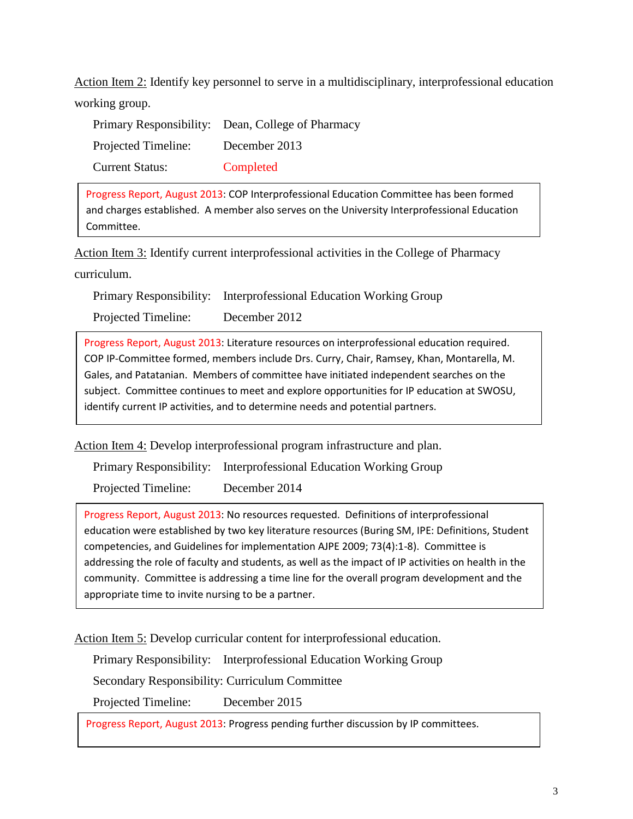Action Item 2: Identify key personnel to serve in a multidisciplinary, interprofessional education working group.

|                        | Primary Responsibility: Dean, College of Pharmacy |
|------------------------|---------------------------------------------------|
| Projected Timeline:    | December 2013                                     |
| <b>Current Status:</b> | Completed                                         |

Progress Report, August 2013: COP Interprofessional Education Committee has been formed and charges established. A member also serves on the University Interprofessional Education Committee.

Action Item 3: Identify current interprofessional activities in the College of Pharmacy curriculum.

Primary Responsibility: Interprofessional Education Working Group

Projected Timeline: December 2012

Progress Report, August 2013: Literature resources on interprofessional education required. Progress Report, August 2013: Literature resources on interprofessional education required.<br>COP IP-Committee formed, members include Drs. Curry, Chair, Ramsey, Khan, Montarella, M. Gales, and Patatanian. Members of committee have initiated independent searches on the subject. Committee continues to meet and explore opportunities for IP education at SWOSU, identify current IP activities, and to determine needs and potential partners.

Action Item 4: Develop interprofessional program infrastructure and plan.

Primary Responsibility: Interprofessional Education Working Group

Projected Timeline: December 2014

 education were established by two key literature resources (Buring SM, IPE: Definitions, Student competencies, and Guidelines for implementation AJPE 2009; 73(4):1-8). Committee is Progress Report, August 2013: No resources requested. Definitions of interprofessional addressing the role of faculty and students, as well as the impact of IP activities on health in the community. Committee is addressing a time line for the overall program development and the appropriate time to invite nursing to be a partner.

Action Item 5: Develop curricular content for interprofessional education.

Primary Responsibility: Interprofessional Education Working Group

Secondary Responsibility: Curriculum Committee

Projected Timeline: December 2015

Progress Report, August 2013: Progress pending further discussion by IP committees.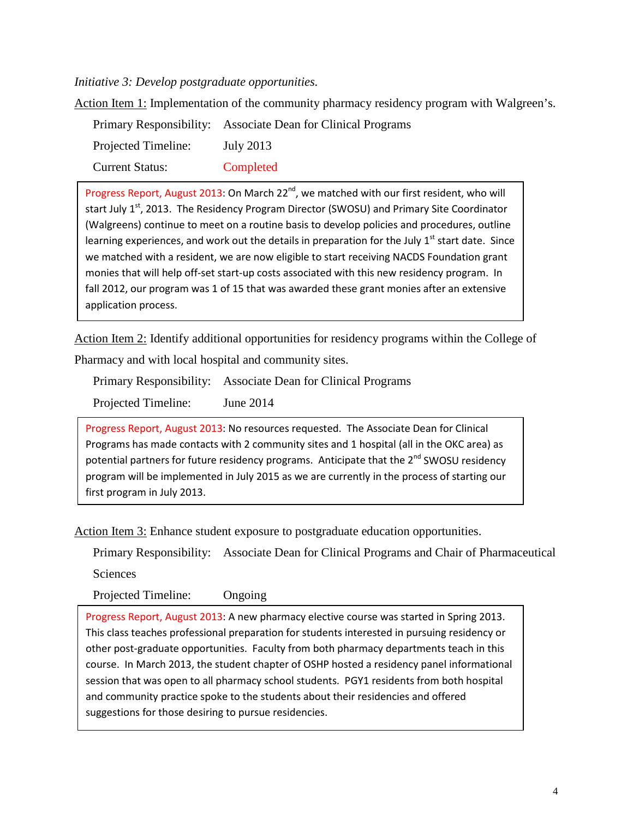*Initiative 3: Develop postgraduate opportunities.* 

Action Item 1: Implementation of the community pharmacy residency program with Walgreen's.

|                        | Primary Responsibility: Associate Dean for Clinical Programs |
|------------------------|--------------------------------------------------------------|
| Projected Timeline:    | July 2013                                                    |
| <b>Current Status:</b> | Completed                                                    |

start July 1<sup>st</sup>, 2013. The Residency Program Director (SWOSU) and Primary Site Coordinator (Walgreens) continue to meet on a routine basis to develop policies and procedures, outline learning experiences, and work out the details in preparation for the July  $1<sup>st</sup>$  start date. Since fall 2012, our program was 1 of 15 that was awarded these grant monies after an extensive Progress Report, August 2013: On March 22 $^{nd}$ , we matched with our first resident, who will we matched with a resident, we are now eligible to start receiving NACDS Foundation grant monies that will help off-set start-up costs associated with this new residency program. In application process.

 Pharmacy and with local hospital and community sites. Action Item 2: Identify additional opportunities for residency programs within the College of

|                     | Primary Responsibility: Associate Dean for Clinical Programs |
|---------------------|--------------------------------------------------------------|
| Projected Timeline: | June 2014                                                    |

 Programs has made contacts with 2 community sites and 1 hospital (all in the OKC area) as Progress Report, August 2013: No resources requested. The Associate Dean for Clinical potential partners for future residency programs. Anticipate that the 2<sup>nd</sup> SWOSU residency program will be implemented in July 2015 as we are currently in the process of starting our first program in July 2013.

Action Item 3: Enhance student exposure to postgraduate education opportunities.

Primary Responsibility: Associate Dean for Clinical Programs and Chair of Pharmaceutical

Sciences

Projected Timeline: Ongoing

Progress Report, August 2013: A new pharmacy elective course was started in Spring 2013. course. In March 2013, the student chapter of OSHP hosted a residency panel informational session that was open to all pharmacy school students. PGY1 residents from both hospital and community practice spoke to the students about their residencies and offered This class teaches professional preparation for students interested in pursuing residency or other post-graduate opportunities. Faculty from both pharmacy departments teach in this suggestions for those desiring to pursue residencies.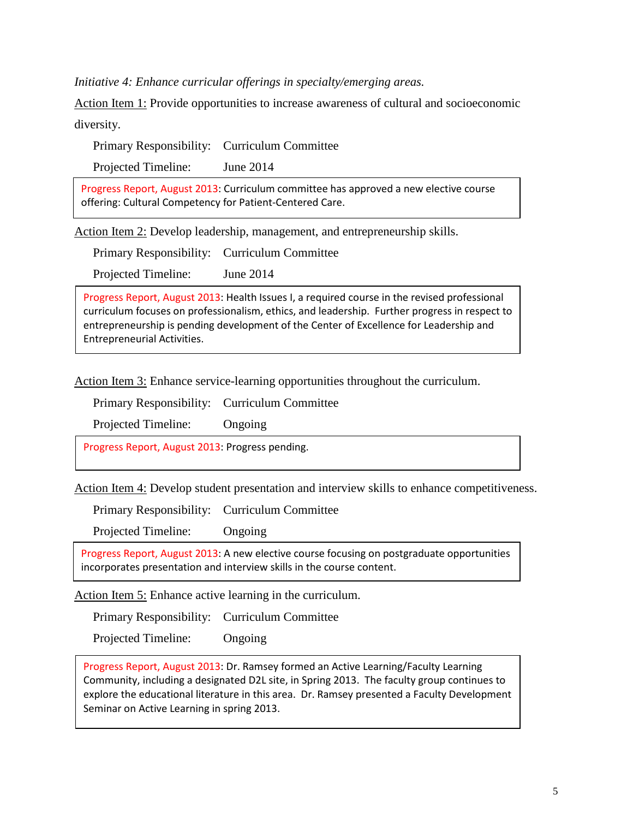*Initiative 4: Enhance curricular offerings in specialty/emerging areas.* 

Action Item 1: Provide opportunities to increase awareness of cultural and socioeconomic

diversity.

Primary Responsibility: Curriculum Committee

Projected Timeline: June 2014

 offering: Cultural Competency for Patient-Centered Care. Progress Report, August 2013: Curriculum committee has approved a new elective course

Action Item 2: Develop leadership, management, and entrepreneurship skills.

Primary Responsibility: Curriculum Committee

Projected Timeline: June 2014

Progress Report, August 2013: Health Issues I, a required course in the revised professional curriculum focuses on professionalism, ethics, and leadership. Further progress in respect to entrepreneurship is pending development of the Center of Excellence for Leadership and Entrepreneurial Activities.

Action Item 3: Enhance service-learning opportunities throughout the curriculum.

Primary Responsibility: Curriculum Committee

Projected Timeline: Ongoing

Progress Report, August 2013: Progress pending.

Action Item 4: Develop student presentation and interview skills to enhance competitiveness.

Primary Responsibility: Curriculum Committee

Projected Timeline: Ongoing

Progress Report, August 2013: A new elective course focusing on postgraduate opportunities incorporates presentation and interview skills in the course content.

Action Item 5: Enhance active learning in the curriculum.

Primary Responsibility: Curriculum Committee

Projected Timeline: Ongoing

 explore the educational literature in this area. Dr. Ramsey presented a Faculty Development Progress Report, August 2013: Dr. Ramsey formed an Active Learning/Faculty Learning Community, including a designated D2L site, in Spring 2013. The faculty group continues to Seminar on Active Learning in spring 2013.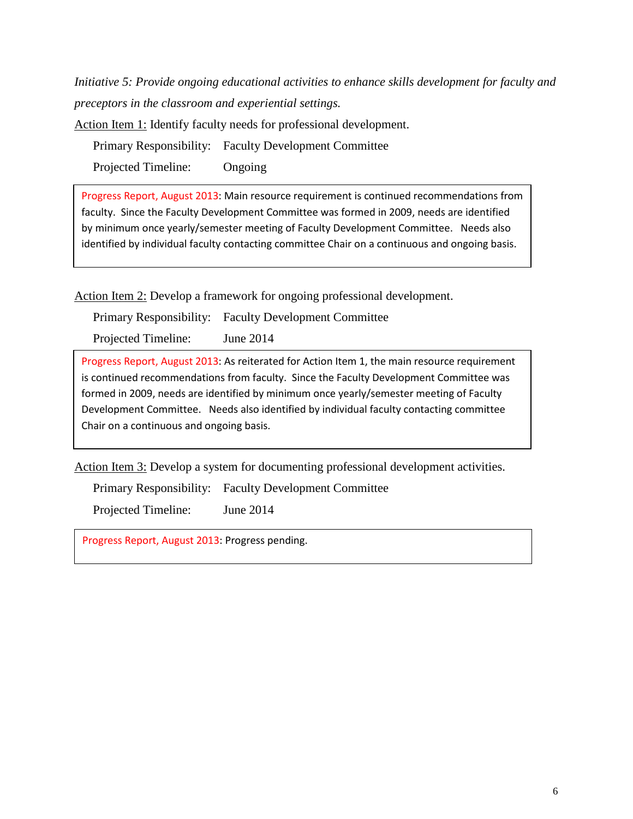*Initiative 5: Provide ongoing educational activities to enhance skills development for faculty and preceptors in the classroom and experiential settings.* 

Action Item 1: Identify faculty needs for professional development.

Primary Responsibility: Faculty Development Committee

Projected Timeline: Ongoing

 by minimum once yearly/semester meeting of Faculty Development Committee. Needs also Progress Report, August 2013: Main resource requirement is continued recommendations from faculty. Since the Faculty Development Committee was formed in 2009, needs are identified identified by individual faculty contacting committee Chair on a continuous and ongoing basis.

Action Item 2: Develop a framework for ongoing professional development.

Primary Responsibility: Faculty Development Committee

Projected Timeline: June 2014

 is continued recommendations from faculty. Since the Faculty Development Committee was formed in 2009, needs are identified by minimum once yearly/semester meeting of Faculty Development Committee. Needs also identified by individual faculty contacting committee Progress Report, August 2013: As reiterated for Action Item 1, the main resource requirement Chair on a continuous and ongoing basis.

Action Item 3: Develop a system for documenting professional development activities.

Primary Responsibility: Faculty Development Committee

Projected Timeline: June 2014

Progress Report, August 2013: Progress pending.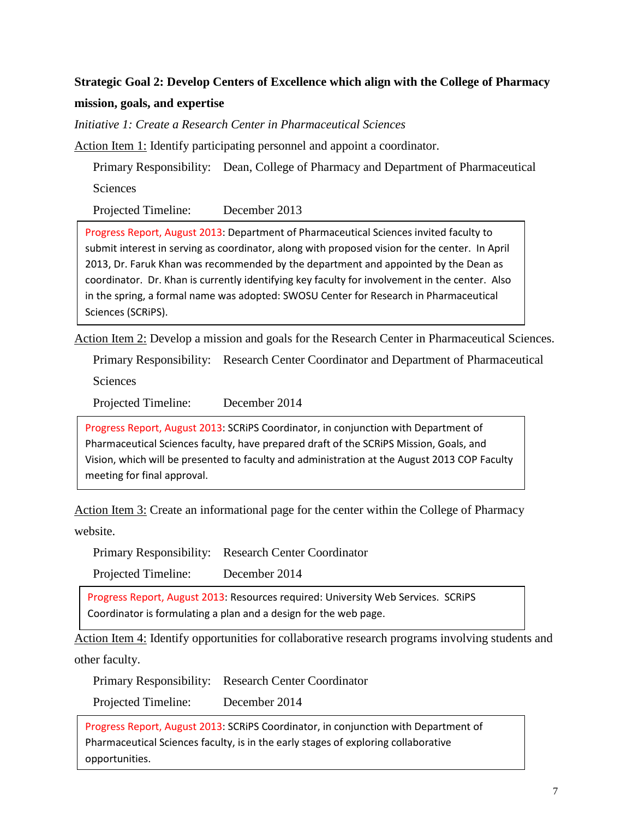### **Strategic Goal 2: Develop Centers of Excellence which align with the College of Pharmacy mission, goals, and expertise**

 *Initiative 1: Create a Research Center in Pharmaceutical Sciences* 

Action Item 1: Identify participating personnel and appoint a coordinator.

Primary Responsibility: Dean, College of Pharmacy and Department of Pharmaceutical **Sciences** 

Projected Timeline: December 2013

 coordinator. Dr. Khan is currently identifying key faculty for involvement in the center. Also Progress Report, August 2013: Department of Pharmaceutical Sciences invited faculty to submit interest in serving as coordinator, along with proposed vision for the center. In April 2013, Dr. Faruk Khan was recommended by the department and appointed by the Dean as in the spring, a formal name was adopted: SWOSU Center for Research in Pharmaceutical Sciences (SCRiPS).

Action Item 2: Develop a mission and goals for the Research Center in Pharmaceutical Sciences.

Primary Responsibility: Research Center Coordinator and Department of Pharmaceutical

Sciences

Projected Timeline: December 2014

 Pharmaceutical Sciences faculty, have prepared draft of the SCRiPS Mission, Goals, and Vision, which will be presented to faculty and administration at the August 2013 COP Faculty meeting for final approval. Progress Report, August 2013: SCRiPS Coordinator, in conjunction with Department of

Action Item 3: Create an informational page for the center within the College of Pharmacy website.

Primary Responsibility: Research Center Coordinator

Projected Timeline: December 2014

 Coordinator is formulating a plan and a design for the web page. Progress Report, August 2013: Resources required: University Web Services. SCRiPS

Action Item 4: Identify opportunities for collaborative research programs involving students and other faculty.

Primary Responsibility: Research Center Coordinator

Projected Timeline: December 2014

 Pharmaceutical Sciences faculty, is in the early stages of exploring collaborative Progress Report, August 2013: SCRiPS Coordinator, in conjunction with Department of opportunities.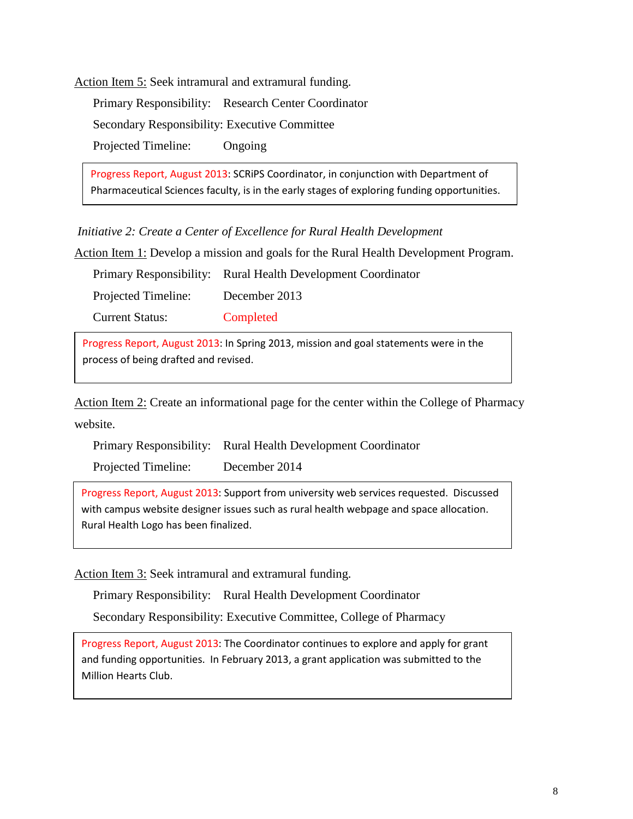Action Item 5: Seek intramural and extramural funding.

Primary Responsibility: Research Center Coordinator Secondary Responsibility: Executive Committee Projected Timeline: Ongoing

 Pharmaceutical Sciences faculty, is in the early stages of exploring funding opportunities. Progress Report, August 2013: SCRiPS Coordinator, in conjunction with Department of

*Initiative 2: Create a Center of Excellence for Rural Health Development* 

Action Item 1: Develop a mission and goals for the Rural Health Development Program.

|                        | Primary Responsibility: Rural Health Development Coordinator |
|------------------------|--------------------------------------------------------------|
| Projected Timeline:    | December 2013                                                |
| <b>Current Status:</b> | Completed                                                    |

 Progress Report, August 2013: In Spring 2013, mission and goal statements were in the process of being drafted and revised.

Action Item 2: Create an informational page for the center within the College of Pharmacy website.

|                     | Primary Responsibility: Rural Health Development Coordinator |
|---------------------|--------------------------------------------------------------|
| Projected Timeline: | December 2014                                                |

 Progress Report, August 2013: Support from university web services requested. Discussed with campus website designer issues such as rural health webpage and space allocation. Rural Health Logo has been finalized.

Action Item 3: Seek intramural and extramural funding.

Primary Responsibility: Rural Health Development Coordinator

Secondary Responsibility: Executive Committee, College of Pharmacy

Progress Report, August 2013: The Coordinator continues to explore and apply for grant and funding opportunities. In February 2013, a grant application was submitted to the Million Hearts Club.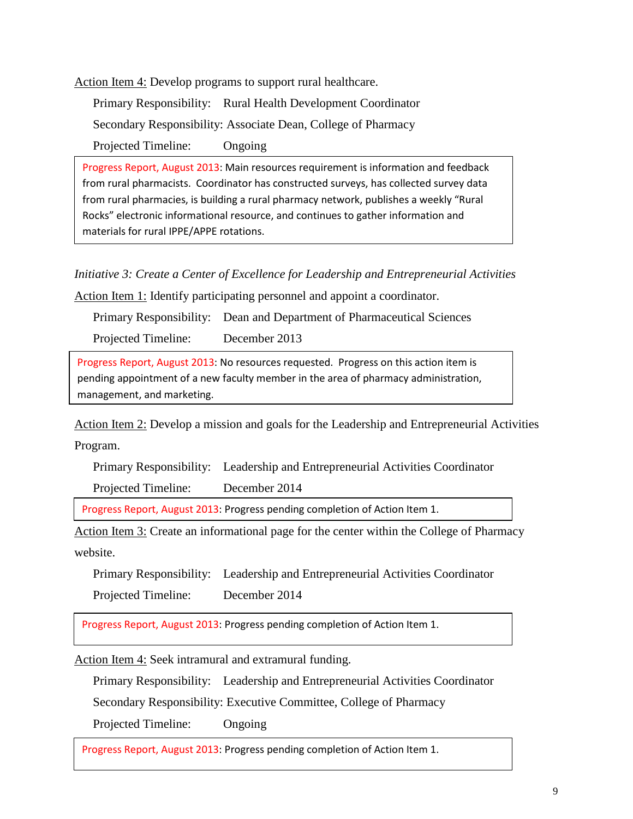Action Item 4: Develop programs to support rural healthcare.

Primary Responsibility: Rural Health Development Coordinator Secondary Responsibility: Associate Dean, College of Pharmacy Projected Timeline: Ongoing

 from rural pharmacists. Coordinator has constructed surveys, has collected survey data Progress Report, August 2013: Main resources requirement is information and feedback from rural pharmacies, is building a rural pharmacy network, publishes a weekly "Rural Rocks" electronic informational resource, and continues to gather information and materials for rural IPPE/APPE rotations.

 *Initiative 3: Create a Center of Excellence for Leadership and Entrepreneurial Activities* 

Action Item 1: Identify participating personnel and appoint a coordinator.

Primary Responsibility: Dean and Department of Pharmaceutical Sciences

Projected Timeline: December 2013

Progress Report, August 2013: No resources requested. Progress on this action item is pending appointment of a new faculty member in the area of pharmacy administration, management, and marketing.

Action Item 2: Develop a mission and goals for the Leadership and Entrepreneurial Activities Program.

Primary Responsibility: Leadership and Entrepreneurial Activities Coordinator

Projected Timeline: December 2014

Progress Report, August 2013: Progress pending completion of Action Item 1.

Action Item 3: Create an informational page for the center within the College of Pharmacy website.

Primary Responsibility: Leadership and Entrepreneurial Activities Coordinator

Projected Timeline: December 2014

Progress Report, August 2013: Progress pending completion of Action Item 1.

Action Item 4: Seek intramural and extramural funding.

Primary Responsibility: Leadership and Entrepreneurial Activities Coordinator

Secondary Responsibility: Executive Committee, College of Pharmacy

Projected Timeline: Ongoing

Progress Report, August 2013: Progress pending completion of Action Item 1.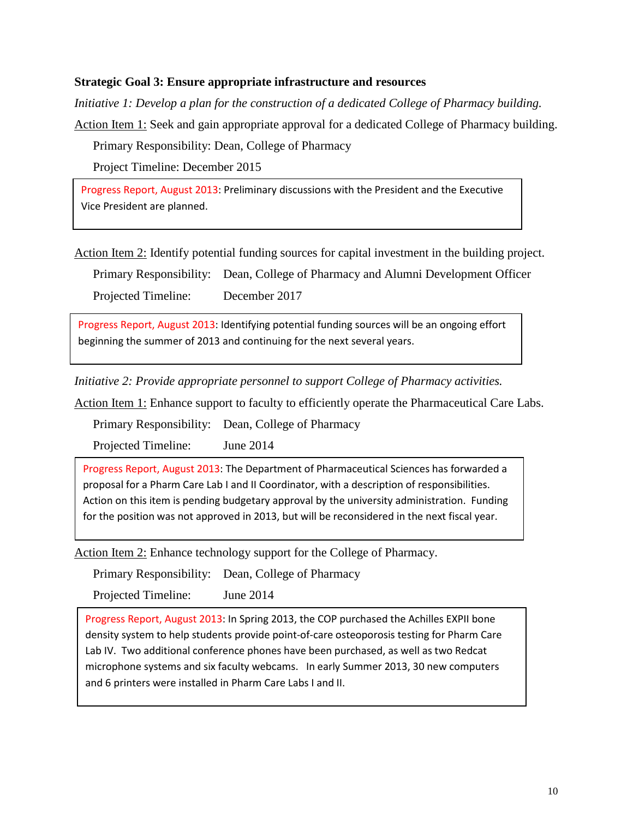#### **Strategic Goal 3: Ensure appropriate infrastructure and resources**

*Initiative 1: Develop a plan for the construction of a dedicated College of Pharmacy building.* 

Action Item 1: Seek and gain appropriate approval for a dedicated College of Pharmacy building.

Primary Responsibility: Dean, College of Pharmacy

Project Timeline: December 2015

Progress Report, August 2013: Preliminary discussions with the President and the Executive Vice President are planned.

Action Item 2: Identify potential funding sources for capital investment in the building project.

Primary Responsibility: Dean, College of Pharmacy and Alumni Development Officer

Projected Timeline: December 2017

 beginning the summer of 2013 and continuing for the next several years. Progress Report, August 2013: Identifying potential funding sources will be an ongoing effort

*Initiative 2: Provide appropriate personnel to support College of Pharmacy activities.* 

Action Item 1: Enhance support to faculty to efficiently operate the Pharmaceutical Care Labs.

Primary Responsibility: Dean, College of Pharmacy

Projected Timeline: June 2014

 proposal for a Pharm Care Lab I and II Coordinator, with a description of responsibilities. for the position was not approved in 2013, but will be reconsidered in the next fiscal year. Progress Report, August 2013: The Department of Pharmaceutical Sciences has forwarded a Action on this item is pending budgetary approval by the university administration. Funding

Action Item 2: Enhance technology support for the College of Pharmacy.

Primary Responsibility: Dean, College of Pharmacy

Projected Timeline: June 2014

 Progress Report, August 2013: In Spring 2013, the COP purchased the Achilles EXPII bone Lab IV. Two additional conference phones have been purchased, as well as two Redcat microphone systems and six faculty webcams. In early Summer 2013, 30 new computers and 6 printers were installed in Pharm Care Labs I and II. density system to help students provide point-of-care osteoporosis testing for Pharm Care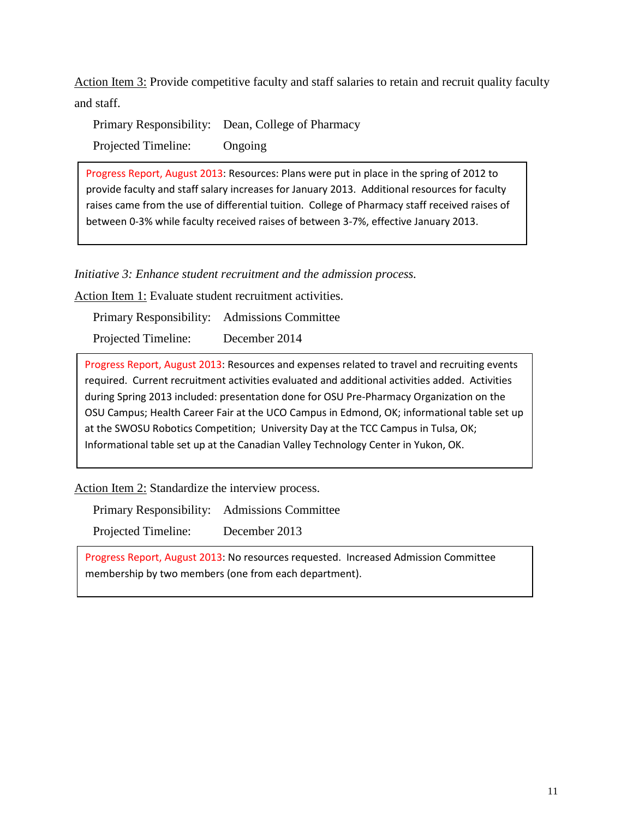Action Item 3: Provide competitive faculty and staff salaries to retain and recruit quality faculty and staff.

Primary Responsibility: Dean, College of Pharmacy Projected Timeline: Ongoing

provide faculty and staff salary increases for January 2013. Additional resources for faculty raises came from the use of differential tuition. College of Pharmacy staff received raises of Progress Report, August 2013: Resources: Plans were put in place in the spring of 2012 to between 0-3% while faculty received raises of between 3-7%, effective January 2013.

*Initiative 3: Enhance student recruitment and the admission process.* 

Action Item 1: Evaluate student recruitment activities.

Primary Responsibility: Admissions Committee

Projected Timeline: December 2014

 during Spring 2013 included: presentation done for OSU Pre-Pharmacy Organization on the at the SWOSU Robotics Competition; University Day at the TCC Campus in Tulsa, OK; Informational table set up at the Canadian Valley Technology Center in Yukon, OK. Progress Report, August 2013: Resources and expenses related to travel and recruiting events required. Current recruitment activities evaluated and additional activities added. Activities OSU Campus; Health Career Fair at the UCO Campus in Edmond, OK; informational table set up

Action Item 2: Standardize the interview process.

Primary Responsibility: Admissions Committee Projected Timeline: December 2013

Progress Report, August 2013: No resources requested. Increased Admission Committee membership by two members (one from each department).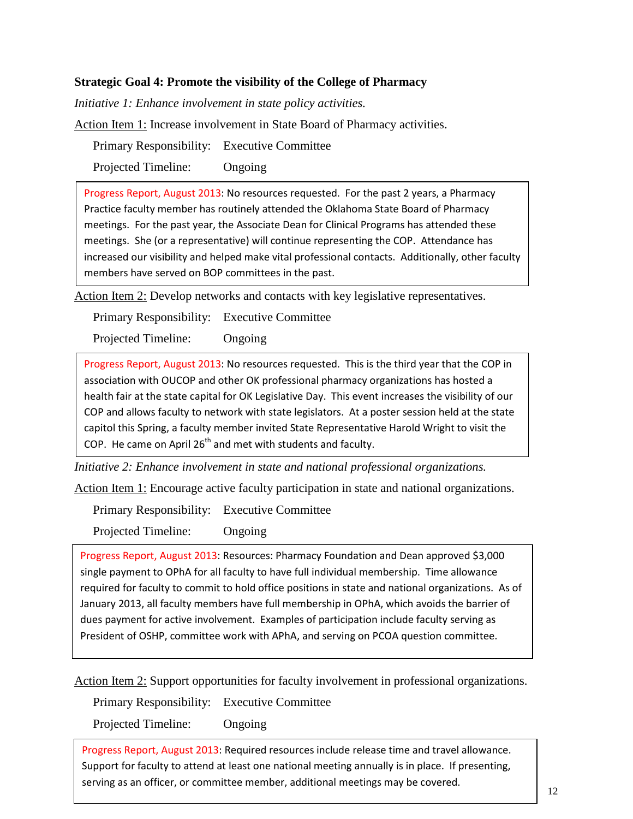#### **Strategic Goal 4: Promote the visibility of the College of Pharmacy**

*Initiative 1: Enhance involvement in state policy activities.* 

Action Item 1: Increase involvement in State Board of Pharmacy activities.

Primary Responsibility: Executive Committee

Projected Timeline: Ongoing

 increased our visibility and helped make vital professional contacts. Additionally, other faculty Progress Report, August 2013: No resources requested. For the past 2 years, a Pharmacy Practice faculty member has routinely attended the Oklahoma State Board of Pharmacy meetings. For the past year, the Associate Dean for Clinical Programs has attended these meetings. She (or a representative) will continue representing the COP. Attendance has members have served on BOP committees in the past.

Action Item 2: Develop networks and contacts with key legislative representatives.

Primary Responsibility: Executive Committee

Projected Timeline: Ongoing

 Progress Report, August 2013: No resources requested. This is the third year that the COP in health fair at the state capital for OK Legislative Day. This event increases the visibility of our COP and allows faculty to network with state legislators. At a poster session held at the state capitol this Spring, a faculty member invited State Representative Harold Wright to visit the association with OUCOP and other OK professional pharmacy organizations has hosted a COP. He came on April  $26<sup>th</sup>$  and met with students and faculty.

*Initiative 2: Enhance involvement in state and national professional organizations.* 

Action Item 1: Encourage active faculty participation in state and national organizations.

Primary Responsibility: Executive Committee

Projected Timeline: Ongoing

Progress Report, August 2013: Resources: Pharmacy Foundation and Dean approved \$3,000 single payment to OPhA for all faculty to have full individual membership. Time allowance required for faculty to commit to hold office positions in state and national organizations. As of January 2013, all faculty members have full membership in OPhA, which avoids the barrier of dues payment for active involvement. Examples of participation include faculty serving as President of OSHP, committee work with APhA, and serving on PCOA question committee.

Action Item 2: Support opportunities for faculty involvement in professional organizations.

Primary Responsibility: Executive Committee

Projected Timeline: Ongoing

 Progress Report, August 2013: Required resources include release time and travel allowance. serving as an officer, or committee member, additional meetings may be covered. Support for faculty to attend at least one national meeting annually is in place. If presenting,  $\begin{array}{|c|c|c|c|c|}\n\hline\n12\n\end{array}$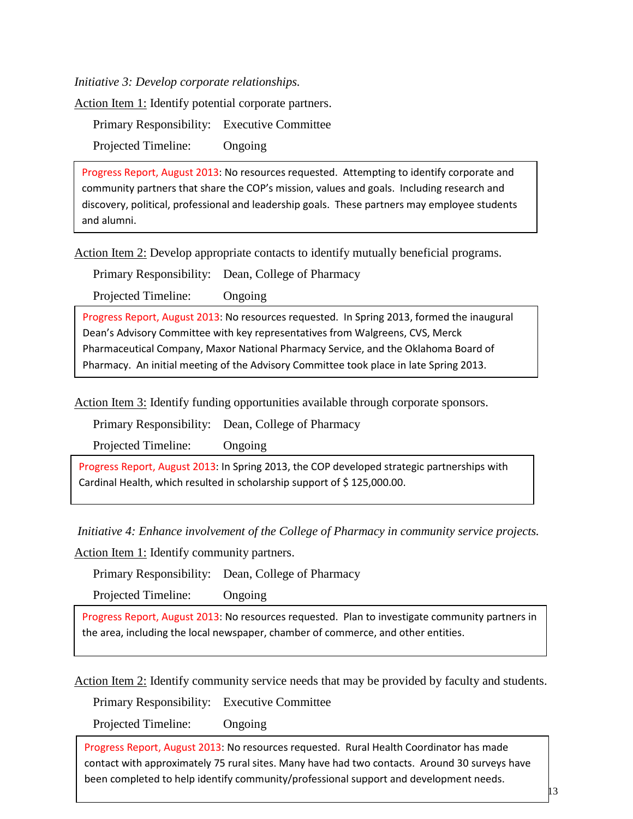*Initiative 3: Develop corporate relationships.* 

Action Item 1: Identify potential corporate partners.

Primary Responsibility: Executive Committee Projected Timeline: Ongoing

 community partners that share the COP's mission, values and goals. Including research and Progress Report, August 2013: No resources requested. Attempting to identify corporate and discovery, political, professional and leadership goals. These partners may employee students and alumni.

Action Item 2: Develop appropriate contacts to identify mutually beneficial programs.

Primary Responsibility: Dean, College of Pharmacy

Projected Timeline: Ongoing

Progress Report, August 2013: No resources requested. In Spring 2013, formed the inaugural Dean's Advisory Committee with key representatives from Walgreens, CVS, Merck Pharmaceutical Company, Maxor National Pharmacy Service, and the Oklahoma Board of Pharmacy. An initial meeting of the Advisory Committee took place in late Spring 2013.

Action Item 3: Identify funding opportunities available through corporate sponsors.

Primary Responsibility: Dean, College of Pharmacy

Projected Timeline: Ongoing

Progress Report, August 2013: In Spring 2013, the COP developed strategic partnerships with Cardinal Health, which resulted in scholarship support of \$ 125,000.00.

*Initiative 4: Enhance involvement of the College of Pharmacy in community service projects.* 

Action Item 1: Identify community partners.

Primary Responsibility: Dean, College of Pharmacy

Projected Timeline: Ongoing

Progress Report, August 2013: No resources requested. Plan to investigate community partners in the area, including the local newspaper, chamber of commerce, and other entities.

Action Item 2: Identify community service needs that may be provided by faculty and students.

Primary Responsibility: Executive Committee

Projected Timeline: Ongoing

 contact with approximately 75 rural sites. Many have had two contacts. Around 30 surveys have Progress Report, August 2013: No resources requested. Rural Health Coordinator has made been completed to help identify community/professional support and development needs.